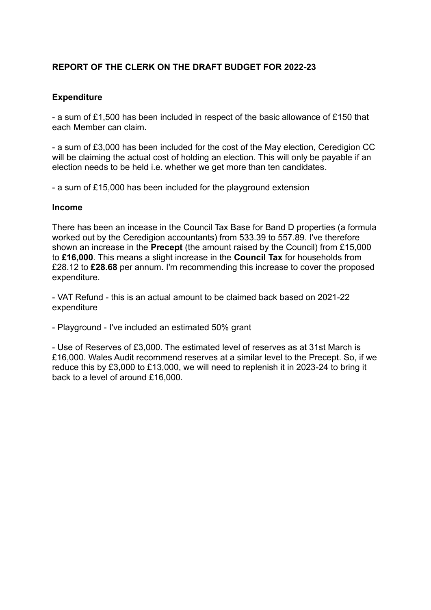## **REPORT OF THE CLERK ON THE DRAFT BUDGET FOR 2022-23**

## **Expenditure**

- a sum of £1,500 has been included in respect of the basic allowance of £150 that each Member can claim.

- a sum of £3,000 has been included for the cost of the May election, Ceredigion CC will be claiming the actual cost of holding an election. This will only be payable if an election needs to be held i.e. whether we get more than ten candidates.

- a sum of £15,000 has been included for the playground extension

## **Income**

There has been an incease in the Council Tax Base for Band D properties (a formula worked out by the Ceredigion accountants) from 533.39 to 557.89. I've therefore shown an increase in the **Precept** (the amount raised by the Council) from £15,000 to **£16,000**. This means a slight increase in the **Council Tax** for households from £28.12 to **£28.68** per annum. I'm recommending this increase to cover the proposed expenditure.

- VAT Refund - this is an actual amount to be claimed back based on 2021-22 expenditure

- Playground - I've included an estimated 50% grant

- Use of Reserves of £3,000. The estimated level of reserves as at 31st March is £16,000. Wales Audit recommend reserves at a similar level to the Precept. So, if we reduce this by £3,000 to £13,000, we will need to replenish it in 2023-24 to bring it back to a level of around £16,000.